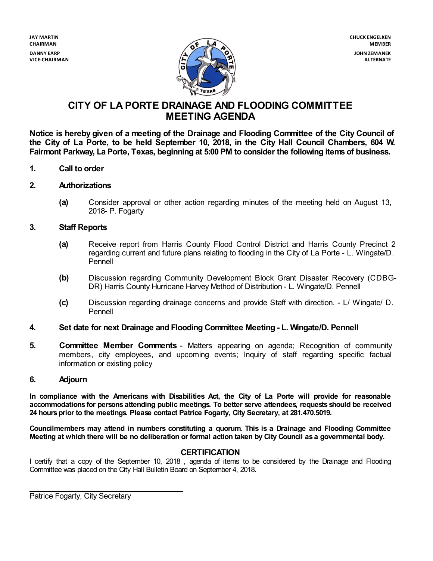**VICE-CHAIRMAN**



# **CITY OF LA PORTE DRAINAGE AND FLOODING COMMITTEE MEETING AGENDA**

**Notice is hereby given of a meeting of the Drainage and Flooding Committee of the City Council of** the City of La Porte, to be held September 10, 2018, in the City Hall Council Chambers, 604 W. **Fairmont Parkway, La Porte, Texas, beginning at 5:00 PM to consider the following items of business.**

- **1. Call to order**
- **2. Authorizations**
	- **(a)** Consider approval or other action regarding minutes of the meeting held on August 13, 2018- P. Fogarty

#### **3. Staff Reports**

- **(a)** Receive report from Harris County Flood Control District and Harris County Precinct 2 regarding current and future plans relating to flooding in the City of La Porte - L. Wingate/D. Pennell
- **(b)** Discussion regarding Community Development Block Grant Disaster Recovery (CDBG-DR) Harris County Hurricane Harvey Method of Distribution - L. Wingate/D. Pennell
- **(c)** Discussion regarding drainage concerns and provide Staff with direction. L/ Wingate/ D. Pennell
- **4. Set date for next Drainage and Flooding Committee Meeting - L. Wingate/D. Pennell**
- **5. Committee Member Comments** Matters appearing on agenda; Recognition of community members, city employees, and upcoming events; Inquiry of staff regarding specific factual information or existing policy

#### **6. Adjourn**

**In compliance with the Americans with Disabilities Act, the City of La Porte will provide for reasonable accommodations for persons attending public meetings. To better serve attendees, requests should be received 24 hoursprior to the meetings. Please contact Patrice Fogarty, City Secretary, at 281.470.5019.**

**Councilmembers may attend in numbers constituting a quorum. This is a Drainage and Flooding Committee** Meeting at which there will be no deliberation or formal action taken by City Council as a governmental body.

#### **CERTIFICATION**

I certify that a copy of the September 10, 2018 , agenda of items to be considered by the Drainage and Flooding Committee was placed on the City Hall Bulletin Board on September 4, 2018.

Patrice Fogarty, City Secretary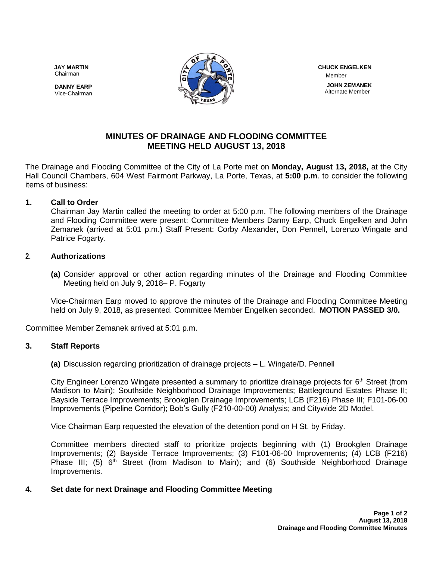Chairman





 Member  **JOHN ZEMANEK** Alternate Member

# **MINUTES OF DRAINAGE AND FLOODING COMMITTEE MEETING HELD AUGUST 13, 2018**

The Drainage and Flooding Committee of the City of La Porte met on **Monday, August 13, 2018,** at the City Hall Council Chambers, 604 West Fairmont Parkway, La Porte, Texas, at **5:00 p.m**. to consider the following items of business:

#### **1. Call to Order**

Chairman Jay Martin called the meeting to order at 5:00 p.m. The following members of the Drainage and Flooding Committee were present: Committee Members Danny Earp, Chuck Engelken and John Zemanek (arrived at 5:01 p.m.) Staff Present: Corby Alexander, Don Pennell, Lorenzo Wingate and Patrice Fogarty.

#### **2. Authorizations**

**(a)** Consider approval or other action regarding minutes of the Drainage and Flooding Committee Meeting held on July 9, 2018– P. Fogarty

Vice-Chairman Earp moved to approve the minutes of the Drainage and Flooding Committee Meeting held on July 9, 2018, as presented. Committee Member Engelken seconded. **MOTION PASSED 3/0.**

Committee Member Zemanek arrived at 5:01 p.m.

#### **3. Staff Reports**

**(a)** Discussion regarding prioritization of drainage projects – L. Wingate/D. Pennell

City Engineer Lorenzo Wingate presented a summary to prioritize drainage projects for 6<sup>th</sup> Street (from Madison to Main); Southside Neighborhood Drainage Improvements; Battleground Estates Phase II; Bayside Terrace Improvements; Brookglen Drainage Improvements; LCB (F216) Phase III; F101-06-00 Improvements (Pipeline Corridor); Bob's Gully (F210-00-00) Analysis; and Citywide 2D Model.

Vice Chairman Earp requested the elevation of the detention pond on H St. by Friday.

Committee members directed staff to prioritize projects beginning with (1) Brookglen Drainage Improvements; (2) Bayside Terrace Improvements; (3) F101-06-00 Improvements; (4) LCB (F216) Phase III; (5)  $6<sup>th</sup>$  Street (from Madison to Main); and (6) Southside Neighborhood Drainage Improvements.

### **4. Set date for next Drainage and Flooding Committee Meeting**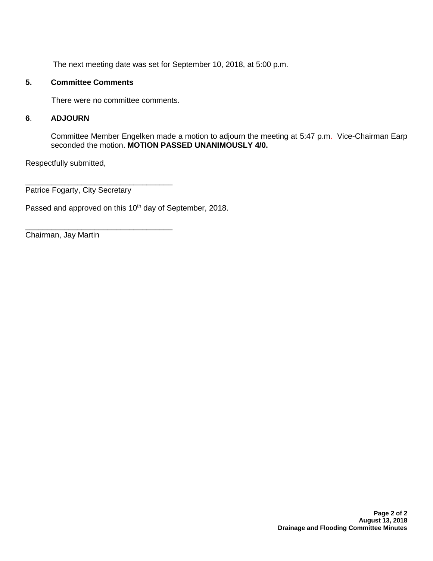The next meeting date was set for September 10, 2018, at 5:00 p.m.

#### **5. Committee Comments**

There were no committee comments.

#### **6**. **ADJOURN**

Committee Member Engelken made a motion to adjourn the meeting at 5:47 p.m. Vice-Chairman Earp seconded the motion. **MOTION PASSED UNANIMOUSLY 4/0.** 

Respectfully submitted,

Patrice Fogarty, City Secretary

\_\_\_\_\_\_\_\_\_\_\_\_\_\_\_\_\_\_\_\_\_\_\_\_\_\_\_\_\_\_\_\_\_\_

\_\_\_\_\_\_\_\_\_\_\_\_\_\_\_\_\_\_\_\_\_\_\_\_\_\_\_\_\_\_\_\_\_\_

Passed and approved on this 10<sup>th</sup> day of September, 2018.

Chairman, Jay Martin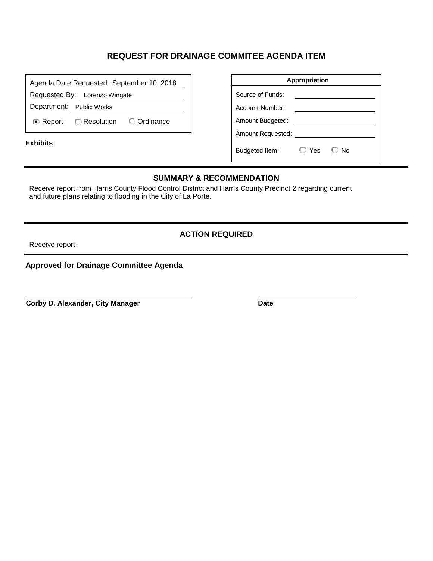# **REQUEST FOR DRAINAGE COMMITEE AGENDA ITEM**

| Agenda Date Requested: September 10, 2018                    | Appropriation                                             |
|--------------------------------------------------------------|-----------------------------------------------------------|
| Requested By: Lorenzo Wingate                                | Source of Funds:                                          |
| Department: Public Works                                     | Account Number:                                           |
| <b>C</b> Ordinance<br><b>C</b> Resolution<br><b>⊙</b> Report | Amount Budgeted:                                          |
| Exhibits:                                                    | Amount Requested:<br>$\Box$ Yes<br>€ No<br>Budgeted Item: |

#### **SUMMARY & RECOMMENDATION**

Receive report from Harris County Flood Control District and Harris County Precinct 2 regarding current and future plans relating to flooding in the City of La Porte.

#### **ACTION REQUIRED**

Receive report

### **Approved for Drainage Committee Agenda**

**Corby D. Alexander, City Manager <br>
Date**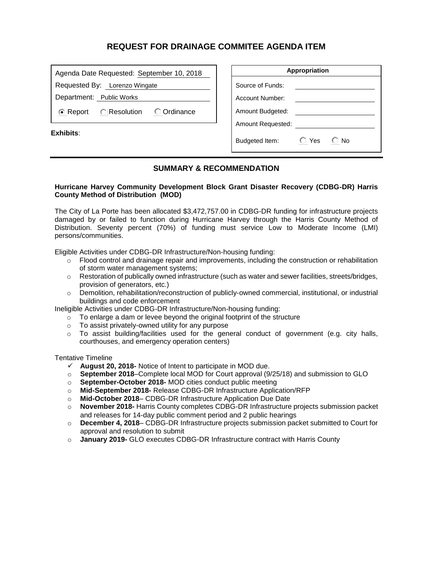## **REQUEST FOR DRAINAGE COMMITEE AGENDA ITEM**

| Requested By: Lorenzo Wingate<br>Department: Public Works | Agenda Date Requested: September 10, 2018 |  |  |  |  |
|-----------------------------------------------------------|-------------------------------------------|--|--|--|--|
|                                                           |                                           |  |  |  |  |
|                                                           |                                           |  |  |  |  |
| ⊙ Report © Resolution © Ordinance                         |                                           |  |  |  |  |

**Exhibits**:

| Appropriation     |         |       |  |  |
|-------------------|---------|-------|--|--|
| Source of Funds:  |         |       |  |  |
| Account Number:   |         |       |  |  |
| Amount Budgeted:  |         |       |  |  |
| Amount Requested: |         |       |  |  |
| Budgeted Item:    | ◯ Yes ା | €∃ No |  |  |

#### **SUMMARY & RECOMMENDATION**

#### **Hurricane Harvey Community Development Block Grant Disaster Recovery (CDBG-DR) Harris County Method of Distribution (MOD)**

The City of La Porte has been allocated \$3,472,757.00 in CDBG-DR funding for infrastructure projects damaged by or failed to function during Hurricane Harvey through the Harris County Method of Distribution. Seventy percent (70%) of funding must service Low to Moderate Income (LMI) persons/communities.

Eligible Activities under CDBG-DR Infrastructure/Non-housing funding:

- $\circ$  Flood control and drainage repair and improvements, including the construction or rehabilitation of storm water management systems;
- $\circ$  Restoration of publically owned infrastructure (such as water and sewer facilities, streets/bridges, provision of generators, etc.)
- o Demolition, rehabilitation/reconstruction of publicly-owned commercial, institutional, or industrial buildings and code enforcement

Ineligible Activities under CDBG-DR Infrastructure/Non-housing funding:

- $\circ$  To enlarge a dam or levee beyond the original footprint of the structure
- o To assist privately-owned utility for any purpose
- $\circ$  To assist building/facilities used for the general conduct of government (e.g. city halls, courthouses, and emergency operation centers)

Tentative Timeline

- **August 20, 2018-** Notice of Intent to participate in MOD due.
- o **September 2018**–Complete local MOD for Court approval (9/25/18) and submission to GLO
- o **September-October 2018-** MOD cities conduct public meeting
- o **Mid-September 2018-** Release CDBG-DR Infrastructure Application/RFP
- o **Mid-October 2018** CDBG-DR Infrastructure Application Due Date
- o **November 2018-** Harris County completes CDBG-DR Infrastructure projects submission packet and releases for 14-day public comment period and 2 public hearings
- o **December 4, 2018** CDBG-DR Infrastructure projects submission packet submitted to Court for approval and resolution to submit
- o **January 2019-** GLO executes CDBG-DR Infrastructure contract with Harris County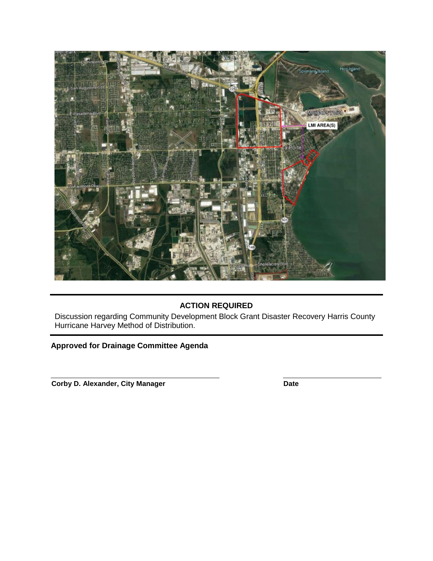

# **ACTION REQUIRED**

Discussion regarding Community Development Block Grant Disaster Recovery Harris County Hurricane Harvey Method of Distribution.

## **Approved for Drainage Committee Agenda**

**Corby D. Alexander, City Manager Date**